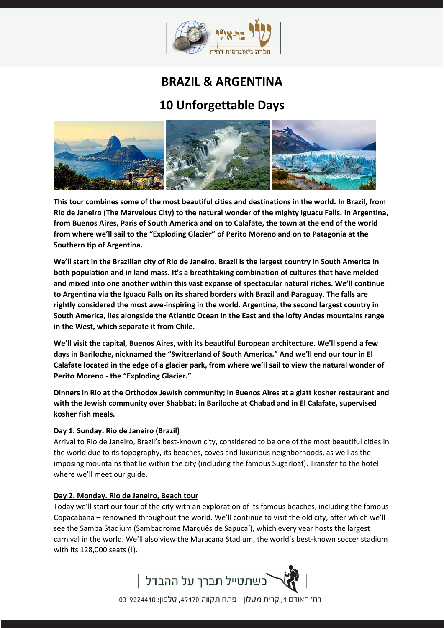

# **BRAZIL & ARGENTINA**

# **10 Unforgettable Days**



**This tour combines some of the most beautiful cities and destinations in the world. In Brazil, from Rio de Janeiro (The Marvelous City) to the natural wonder of the mighty Iguacu Falls. In Argentina, from Buenos Aires, Paris of South America and on to Calafate, the town at the end of the world from where we'll sail to the "Exploding Glacier" of Perito Moreno and on to Patagonia at the Southern tip of Argentina.**

**We'll start in the Brazilian city of Rio de Janeiro. Brazil is the largest country in South America in both population and in land mass. It's a breathtaking combination of cultures that have melded and mixed into one another within this vast expanse of spectacular natural riches. We'll continue to Argentina via the Iguacu Falls on its shared borders with Brazil and Paraguay. The falls are rightly considered the most awe-inspiring in the world. Argentina, the second largest country in South America, lies alongside the Atlantic Ocean in the East and the lofty Andes mountains range in the West, which separate it from Chile.**

**We'll visit the capital, Buenos Aires, with its beautiful European architecture. We'll spend a few days in Bariloche, nicknamed the "Switzerland of South America." And we'll end our tour in El Calafate located in the edge of a glacier park, from where we'll sail to view the natural wonder of Perito Moreno - the "Exploding Glacier."**

**Dinners in Rio at the Orthodox Jewish community; in Buenos Aires at a glatt kosher restaurant and with the Jewish community over Shabbat; in Bariloche at Chabad and in El Calafate, supervised kosher fish meals.** 

#### **Day 1. Sunday. Rio de Janeiro (Brazil)**

Arrival to Rio de Janeiro, Brazil's best-known city, considered to be one of the most beautiful cities in the world due to its topography, its beaches, coves and luxurious neighborhoods, as well as the imposing mountains that lie within the city (including the famous Sugarloaf). Transfer to the hotel where we'll meet our guide.

#### **Day 2. Monday. Rio de Janeiro, Beach tour**

Today we'll start our tour of the city with an exploration of its famous beaches, including the famous Copacabana – renowned throughout the world. We'll continue to visit the old city, after which we'll see the Samba Stadium (Sambadrome Marquês de Sapucaí), which every year hosts the largest carnival in the world. We'll also view the Maracana Stadium, the world's best-known soccer stadium with its 128,000 seats (!).



רח' האודם 1, קרית מטלון - פתח תקווה 49170, טלפון: 9224410-03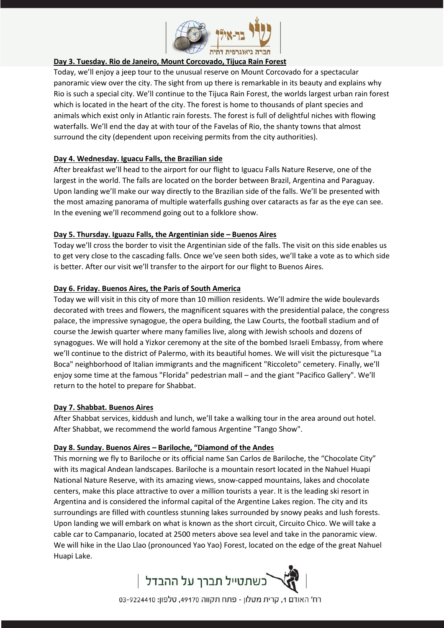

#### **Day 3. Tuesday. Rio de Janeiro, Mount Corcovado, Tijuca Rain Forest**

Today, we'll enjoy a jeep tour to the unusual reserve on Mount Corcovado for a spectacular panoramic view over the city. The sight from up there is remarkable in its beauty and explains why Rio is such a special city. We'll continue to the Tijuca Rain Forest, the worlds largest urban rain forest which is located in the heart of the city. The forest is home to thousands of plant species and animals which exist only in Atlantic rain forests. The forest is full of delightful niches with flowing waterfalls. We'll end the day at with tour of the Favelas of Rio, the shanty towns that almost surround the city (dependent upon receiving permits from the city authorities).

#### **Day 4. Wednesday. Iguacu Falls, the Brazilian side**

After breakfast we'll head to the airport for our flight to Iguacu Falls Nature Reserve, one of the largest in the world. The falls are located on the border between Brazil, Argentina and Paraguay. Upon landing we'll make our way directly to the Brazilian side of the falls. We'll be presented with the most amazing panorama of multiple waterfalls gushing over cataracts as far as the eye can see. In the evening we'll recommend going out to a folklore show.

#### **Day 5. Thursday. Iguazu Falls, the Argentinian side – Buenos Aires**

Today we'll cross the border to visit the Argentinian side of the falls. The visit on this side enables us to get very close to the cascading falls. Once we've seen both sides, we'll take a vote as to which side is better. After our visit we'll transfer to the airport for our flight to Buenos Aires.

### **Day 6. Friday. Buenos Aires, the Paris of South America**

Today we will visit in this city of more than 10 million residents. We'll admire the wide boulevards decorated with trees and flowers, the magnificent squares with the presidential palace, the congress palace, the impressive synagogue, the opera building, the Law Courts, the football stadium and of course the Jewish quarter where many families live, along with Jewish schools and dozens of synagogues. We will hold a Yizkor ceremony at the site of the bombed Israeli Embassy, from where we'll continue to the district of Palermo, with its beautiful homes. We will visit the picturesque "La Boca" neighborhood of Italian immigrants and the magnificent "Riccoleto" cemetery. Finally, we'll enjoy some time at the famous "Florida" pedestrian mall – and the giant "Pacifico Gallery". We'll return to the hotel to prepare for Shabbat.

#### **Day 7. Shabbat. Buenos Aires**

After Shabbat services, kiddush and lunch, we'll take a walking tour in the area around out hotel. After Shabbat, we recommend the world famous Argentine "Tango Show".

#### **Day 8. Sunday. Buenos Aires – Bariloche, "Diamond of the Andes**

This morning we fly to Bariloche or its official name San Carlos de Bariloche, the "Chocolate City" with its magical Andean landscapes. Bariloche is a mountain resort located in the Nahuel Huapi National Nature Reserve, with its amazing views, snow-capped mountains, lakes and chocolate centers, make this place attractive to over a million tourists a year. It is the leading ski resort in Argentina and is considered the informal capital of the Argentine Lakes region. The city and its surroundings are filled with countless stunning lakes surrounded by snowy peaks and lush forests. Upon landing we will embark on what is known as the short circuit, Circuito Chico. We will take a cable car to Campanario, located at 2500 meters above sea level and take in the panoramic view. We will hike in the Llao Llao (pronounced Yao Yao) Forest, located on the edge of the great Nahuel Huapi Lake.



רח' האודם 1, קרית מטלון - פתח תקווה 49170, טלפון: 9224410-03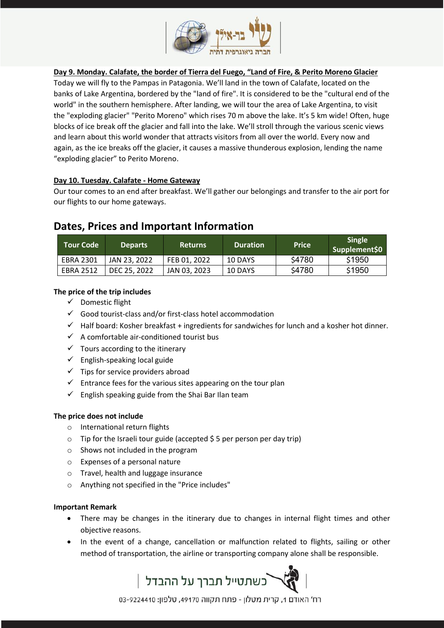

### **Day 9. Monday. Calafate, the border of Tierra del Fuego, "Land of Fire, & Perito Moreno Glacier**

Today we will fly to the Pampas in Patagonia. We'll land in the town of Calafate, located on the banks of Lake Argentina, bordered by the "land of fire". It is considered to be the "cultural end of the world" in the southern hemisphere. After landing, we will tour the area of Lake Argentina, to visit the "exploding glacier" "Perito Moreno" which rises 70 m above the lake. It's 5 km wide! Often, huge blocks of ice break off the glacier and fall into the lake. We'll stroll through the various scenic views and learn about this world wonder that attracts visitors from all over the world. Every now and again, as the ice breaks off the glacier, it causes a massive thunderous explosion, lending the name "exploding glacier" to Perito Moreno.

#### **Day 10. Tuesday. Calafate - Home Gateway**

Our tour comes to an end after breakfast. We'll gather our belongings and transfer to the air port for our flights to our home gateways.

## **Dates, Prices and Important Information**

| <b>Tour Code</b> | <b>Departs</b> | <b>Returns</b> | <b>Duration</b> | <b>Price</b> | <b>Single</b><br>Supplement\$0 |
|------------------|----------------|----------------|-----------------|--------------|--------------------------------|
| <b>EBRA 2301</b> | JAN 23, 2022   | FEB 01, 2022   | 10 DAYS         | \$4780       | \$1950                         |
| <b>EBRA 2512</b> | DEC 25, 2022   | JAN 03, 2023   | 10 DAYS         | \$4780       | \$1950                         |

#### **The price of the trip includes**

- $\checkmark$  Domestic flight
- $\checkmark$  Good tourist-class and/or first-class hotel accommodation
- $\checkmark$  Half board: Kosher breakfast + ingredients for sandwiches for lunch and a kosher hot dinner.
- $\checkmark$  A comfortable air-conditioned tourist bus
- $\checkmark$  Tours according to the itinerary
- $\checkmark$  English-speaking local guide
- $\checkmark$  Tips for service providers abroad
- $\checkmark$  Entrance fees for the various sites appearing on the tour plan
- $\checkmark$  English speaking guide from the Shai Bar Ilan team

#### **The price does not include**

- o International return flights
- $\circ$  Tip for the Israeli tour guide (accepted \$5 per person per day trip)
- o Shows not included in the program
- o Expenses of a personal nature
- o Travel, health and luggage insurance
- o Anything not specified in the "Price includes"

#### **Important Remark**

- There may be changes in the itinerary due to changes in internal flight times and other objective reasons.
- In the event of a change, cancellation or malfunction related to flights, sailing or other method of transportation, the airline or transporting company alone shall be responsible.



רח' האודם 1, קרית מטלון - פתח תקווה 49170, טלפון: 9224410-03